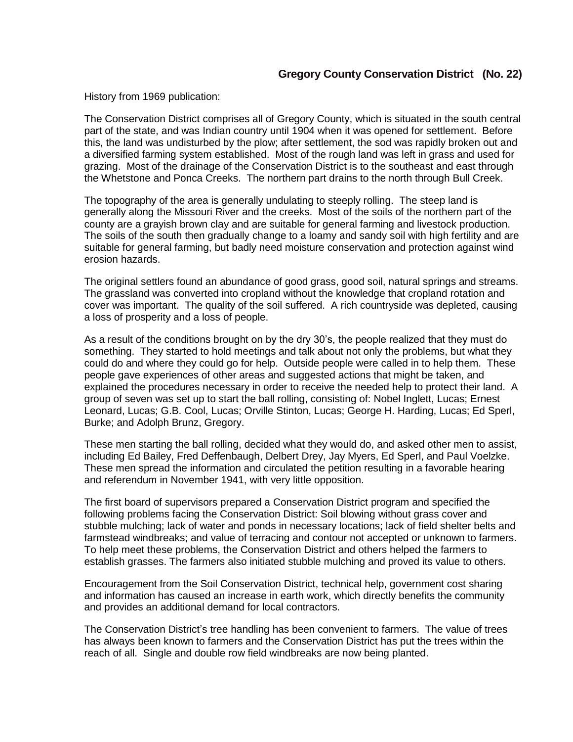## **Gregory County Conservation District (No. 22)**

History from 1969 publication:

The Conservation District comprises all of Gregory County, which is situated in the south central part of the state, and was Indian country until 1904 when it was opened for settlement. Before this, the land was undisturbed by the plow; after settlement, the sod was rapidly broken out and a diversified farming system established. Most of the rough land was left in grass and used for grazing. Most of the drainage of the Conservation District is to the southeast and east through the Whetstone and Ponca Creeks. The northern part drains to the north through Bull Creek.

The topography of the area is generally undulating to steeply rolling. The steep land is generally along the Missouri River and the creeks. Most of the soils of the northern part of the county are a grayish brown clay and are suitable for general farming and livestock production. The soils of the south then gradually change to a loamy and sandy soil with high fertility and are suitable for general farming, but badly need moisture conservation and protection against wind erosion hazards.

The original settlers found an abundance of good grass, good soil, natural springs and streams. The grassland was converted into cropland without the knowledge that cropland rotation and cover was important. The quality of the soil suffered. A rich countryside was depleted, causing a loss of prosperity and a loss of people.

As a result of the conditions brought on by the dry 30's, the people realized that they must do something. They started to hold meetings and talk about not only the problems, but what they could do and where they could go for help. Outside people were called in to help them. These people gave experiences of other areas and suggested actions that might be taken, and explained the procedures necessary in order to receive the needed help to protect their land. A group of seven was set up to start the ball rolling, consisting of: Nobel Inglett, Lucas; Ernest Leonard, Lucas; G.B. Cool, Lucas; Orville Stinton, Lucas; George H. Harding, Lucas; Ed Sperl, Burke; and Adolph Brunz, Gregory.

These men starting the ball rolling, decided what they would do, and asked other men to assist, including Ed Bailey, Fred Deffenbaugh, Delbert Drey, Jay Myers, Ed Sperl, and Paul Voelzke. These men spread the information and circulated the petition resulting in a favorable hearing and referendum in November 1941, with very little opposition.

The first board of supervisors prepared a Conservation District program and specified the following problems facing the Conservation District: Soil blowing without grass cover and stubble mulching; lack of water and ponds in necessary locations; lack of field shelter belts and farmstead windbreaks; and value of terracing and contour not accepted or unknown to farmers. To help meet these problems, the Conservation District and others helped the farmers to establish grasses. The farmers also initiated stubble mulching and proved its value to others.

Encouragement from the Soil Conservation District, technical help, government cost sharing and information has caused an increase in earth work, which directly benefits the community and provides an additional demand for local contractors.

The Conservation District's tree handling has been convenient to farmers. The value of trees has always been known to farmers and the Conservation District has put the trees within the reach of all. Single and double row field windbreaks are now being planted.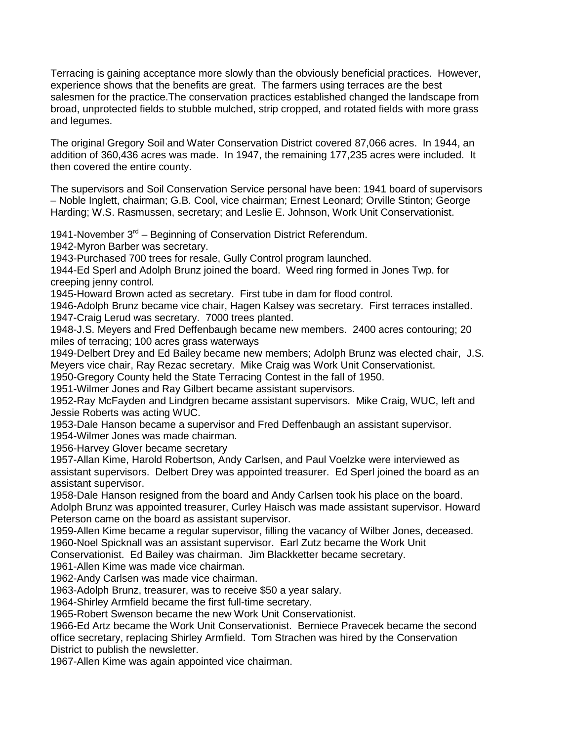Terracing is gaining acceptance more slowly than the obviously beneficial practices. However, experience shows that the benefits are great. The farmers using terraces are the best salesmen for the practice.The conservation practices established changed the landscape from broad, unprotected fields to stubble mulched, strip cropped, and rotated fields with more grass and legumes.

The original Gregory Soil and Water Conservation District covered 87,066 acres. In 1944, an addition of 360,436 acres was made. In 1947, the remaining 177,235 acres were included. It then covered the entire county.

The supervisors and Soil Conservation Service personal have been: 1941 board of supervisors – Noble Inglett, chairman; G.B. Cool, vice chairman; Ernest Leonard; Orville Stinton; George Harding; W.S. Rasmussen, secretary; and Leslie E. Johnson, Work Unit Conservationist.

1941-November 3<sup>rd</sup> – Beginning of Conservation District Referendum.

1942-Myron Barber was secretary.

1943-Purchased 700 trees for resale, Gully Control program launched.

1944-Ed Sperl and Adolph Brunz joined the board. Weed ring formed in Jones Twp. for creeping jenny control.

1945-Howard Brown acted as secretary. First tube in dam for flood control.

1946-Adolph Brunz became vice chair, Hagen Kalsey was secretary. First terraces installed. 1947-Craig Lerud was secretary. 7000 trees planted.

1948-J.S. Meyers and Fred Deffenbaugh became new members. 2400 acres contouring; 20 miles of terracing; 100 acres grass waterways

1949-Delbert Drey and Ed Bailey became new members; Adolph Brunz was elected chair, J.S. Meyers vice chair, Ray Rezac secretary. Mike Craig was Work Unit Conservationist.

1950-Gregory County held the State Terracing Contest in the fall of 1950.

1951-Wilmer Jones and Ray Gilbert became assistant supervisors.

1952-Ray McFayden and Lindgren became assistant supervisors. Mike Craig, WUC, left and Jessie Roberts was acting WUC.

1953-Dale Hanson became a supervisor and Fred Deffenbaugh an assistant supervisor.

1954-Wilmer Jones was made chairman.

1956-Harvey Glover became secretary

1957-Allan Kime, Harold Robertson, Andy Carlsen, and Paul Voelzke were interviewed as assistant supervisors. Delbert Drey was appointed treasurer. Ed Sperl joined the board as an assistant supervisor.

1958-Dale Hanson resigned from the board and Andy Carlsen took his place on the board. Adolph Brunz was appointed treasurer, Curley Haisch was made assistant supervisor. Howard Peterson came on the board as assistant supervisor.

1959-Allen Kime became a regular supervisor, filling the vacancy of Wilber Jones, deceased. 1960-Noel Spicknall was an assistant supervisor. Earl Zutz became the Work Unit

Conservationist. Ed Bailey was chairman. Jim Blackketter became secretary.

1961-Allen Kime was made vice chairman.

1962-Andy Carlsen was made vice chairman.

1963-Adolph Brunz, treasurer, was to receive \$50 a year salary.

1964-Shirley Armfield became the first full-time secretary.

1965-Robert Swenson became the new Work Unit Conservationist.

1966-Ed Artz became the Work Unit Conservationist. Berniece Pravecek became the second office secretary, replacing Shirley Armfield. Tom Strachen was hired by the Conservation District to publish the newsletter.

1967-Allen Kime was again appointed vice chairman.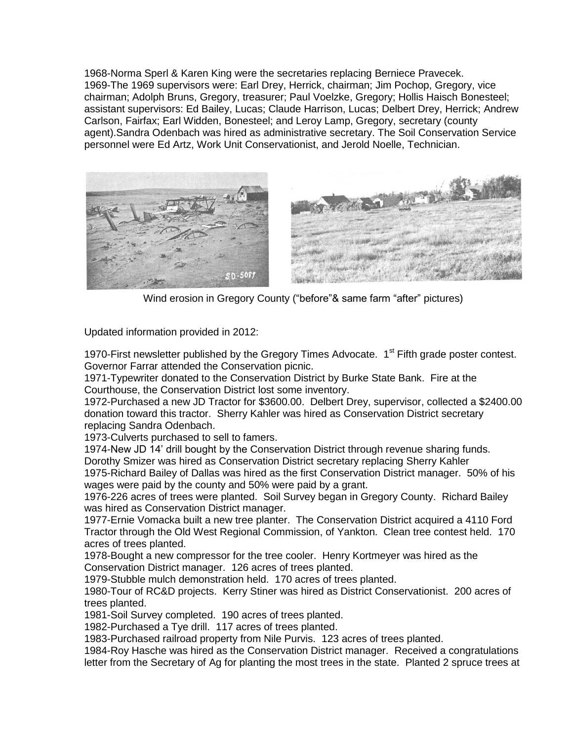1968-Norma Sperl & Karen King were the secretaries replacing Berniece Pravecek. 1969-The 1969 supervisors were: Earl Drey, Herrick, chairman; Jim Pochop, Gregory, vice chairman; Adolph Bruns, Gregory, treasurer; Paul Voelzke, Gregory; Hollis Haisch Bonesteel; assistant supervisors: Ed Bailey, Lucas; Claude Harrison, Lucas; Delbert Drey, Herrick; Andrew Carlson, Fairfax; Earl Widden, Bonesteel; and Leroy Lamp, Gregory, secretary (county agent).Sandra Odenbach was hired as administrative secretary. The Soil Conservation Service personnel were Ed Artz, Work Unit Conservationist, and Jerold Noelle, Technician.



Wind erosion in Gregory County ("before"& same farm "after" pictures)

Updated information provided in 2012:

1970-First newsletter published by the Gregory Times Advocate. 1<sup>st</sup> Fifth grade poster contest. Governor Farrar attended the Conservation picnic.

1971-Typewriter donated to the Conservation District by Burke State Bank. Fire at the Courthouse, the Conservation District lost some inventory.

1972-Purchased a new JD Tractor for \$3600.00. Delbert Drey, supervisor, collected a \$2400.00 donation toward this tractor. Sherry Kahler was hired as Conservation District secretary replacing Sandra Odenbach.

1973-Culverts purchased to sell to famers.

1974-New JD 14' drill bought by the Conservation District through revenue sharing funds. Dorothy Smizer was hired as Conservation District secretary replacing Sherry Kahler

1975-Richard Bailey of Dallas was hired as the first Conservation District manager. 50% of his wages were paid by the county and 50% were paid by a grant.

1976-226 acres of trees were planted. Soil Survey began in Gregory County. Richard Bailey was hired as Conservation District manager.

1977-Ernie Vomacka built a new tree planter. The Conservation District acquired a 4110 Ford Tractor through the Old West Regional Commission, of Yankton. Clean tree contest held. 170 acres of trees planted.

1978-Bought a new compressor for the tree cooler. Henry Kortmeyer was hired as the Conservation District manager. 126 acres of trees planted.

1979-Stubble mulch demonstration held. 170 acres of trees planted.

1980-Tour of RC&D projects. Kerry Stiner was hired as District Conservationist. 200 acres of trees planted.

1981-Soil Survey completed. 190 acres of trees planted.

1982-Purchased a Tye drill. 117 acres of trees planted.

1983-Purchased railroad property from Nile Purvis. 123 acres of trees planted.

1984-Roy Hasche was hired as the Conservation District manager. Received a congratulations letter from the Secretary of Ag for planting the most trees in the state. Planted 2 spruce trees at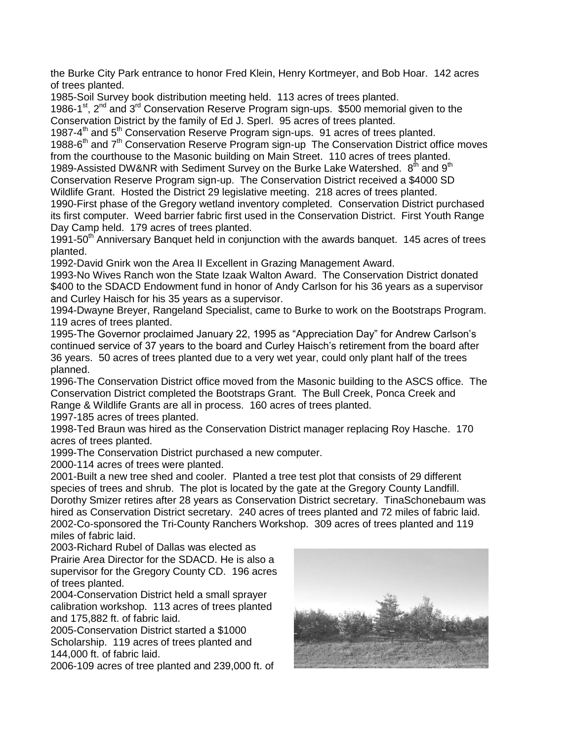the Burke City Park entrance to honor Fred Klein, Henry Kortmeyer, and Bob Hoar. 142 acres of trees planted.

1985-Soil Survey book distribution meeting held. 113 acres of trees planted.

1986-1<sup>st</sup>, 2<sup>nd</sup> and 3<sup>rd</sup> Conservation Reserve Program sign-ups. \$500 memorial given to the Conservation District by the family of Ed J. Sperl. 95 acres of trees planted.

1987-4<sup>th</sup> and 5<sup>th</sup> Conservation Reserve Program sign-ups. 91 acres of trees planted.

1988-6<sup>th</sup> and 7<sup>th</sup> Conservation Reserve Program sign-up The Conservation District office moves from the courthouse to the Masonic building on Main Street. 110 acres of trees planted.

1989-Assisted DW&NR with Sediment Survey on the Burke Lake Watershed.  $8<sup>th</sup>$  and  $9<sup>th</sup>$ Conservation Reserve Program sign-up. The Conservation District received a \$4000 SD

Wildlife Grant. Hosted the District 29 legislative meeting. 218 acres of trees planted.

1990-First phase of the Gregory wetland inventory completed. Conservation District purchased its first computer. Weed barrier fabric first used in the Conservation District. First Youth Range Day Camp held. 179 acres of trees planted.

1991-50<sup>th</sup> Anniversary Banquet held in conjunction with the awards banquet. 145 acres of trees planted.

1992-David Gnirk won the Area II Excellent in Grazing Management Award.

1993-No Wives Ranch won the State Izaak Walton Award. The Conservation District donated \$400 to the SDACD Endowment fund in honor of Andy Carlson for his 36 years as a supervisor and Curley Haisch for his 35 years as a supervisor.

1994-Dwayne Breyer, Rangeland Specialist, came to Burke to work on the Bootstraps Program. 119 acres of trees planted.

1995-The Governor proclaimed January 22, 1995 as "Appreciation Day" for Andrew Carlson's continued service of 37 years to the board and Curley Haisch's retirement from the board after 36 years. 50 acres of trees planted due to a very wet year, could only plant half of the trees planned.

1996-The Conservation District office moved from the Masonic building to the ASCS office. The Conservation District completed the Bootstraps Grant. The Bull Creek, Ponca Creek and Range & Wildlife Grants are all in process. 160 acres of trees planted.

1997-185 acres of trees planted.

1998-Ted Braun was hired as the Conservation District manager replacing Roy Hasche. 170 acres of trees planted.

1999-The Conservation District purchased a new computer.

2000-114 acres of trees were planted.

2001-Built a new tree shed and cooler. Planted a tree test plot that consists of 29 different species of trees and shrub. The plot is located by the gate at the Gregory County Landfill. Dorothy Smizer retires after 28 years as Conservation District secretary. TinaSchonebaum was hired as Conservation District secretary. 240 acres of trees planted and 72 miles of fabric laid. 2002-Co-sponsored the Tri-County Ranchers Workshop. 309 acres of trees planted and 119 miles of fabric laid.

2003-Richard Rubel of Dallas was elected as Prairie Area Director for the SDACD. He is also a supervisor for the Gregory County CD. 196 acres of trees planted.

2004-Conservation District held a small sprayer calibration workshop. 113 acres of trees planted and 175,882 ft. of fabric laid.

2005-Conservation District started a \$1000 Scholarship. 119 acres of trees planted and 144,000 ft. of fabric laid.

2006-109 acres of tree planted and 239,000 ft. of